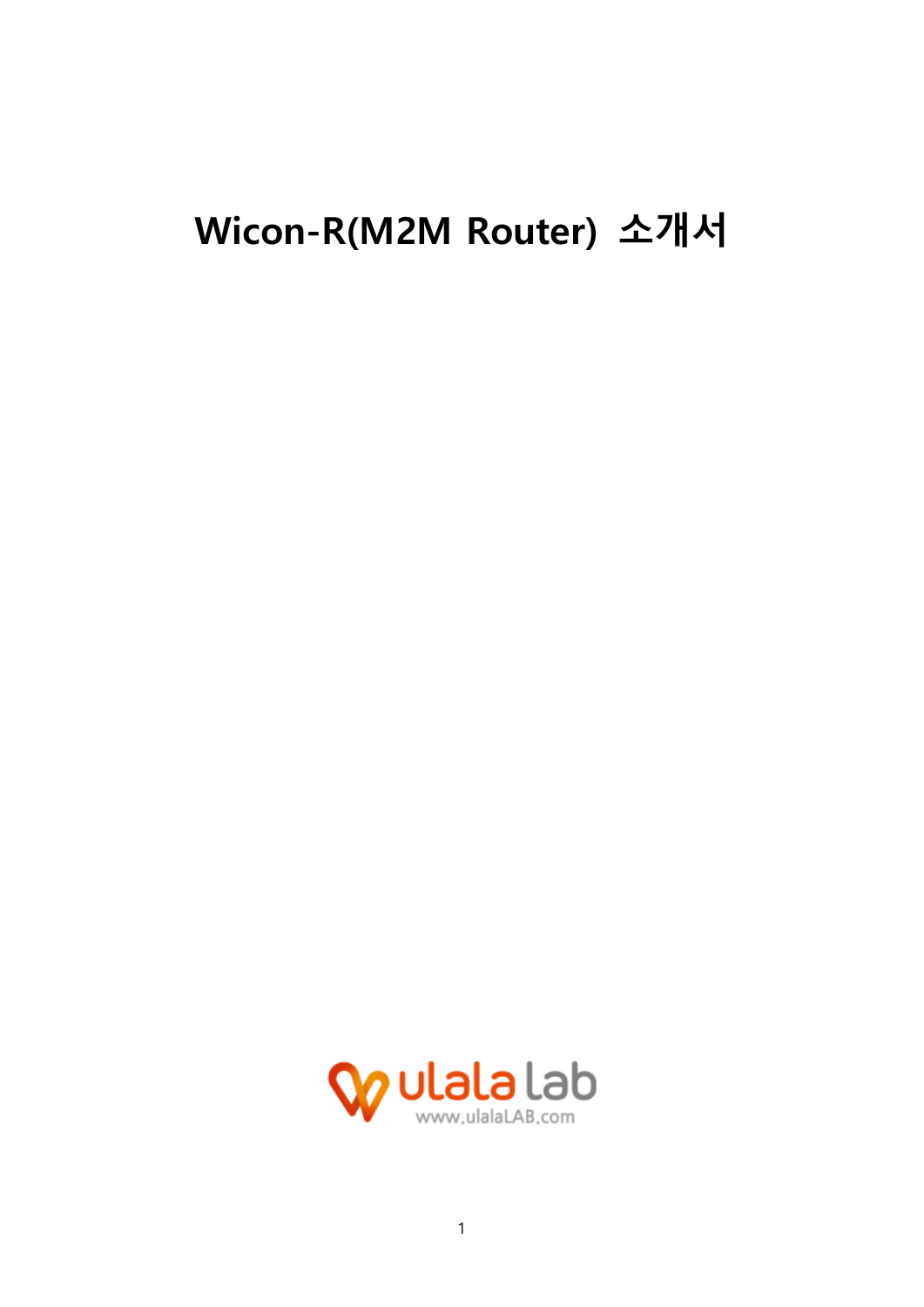# Wicon-R(M2M Router) 소개서

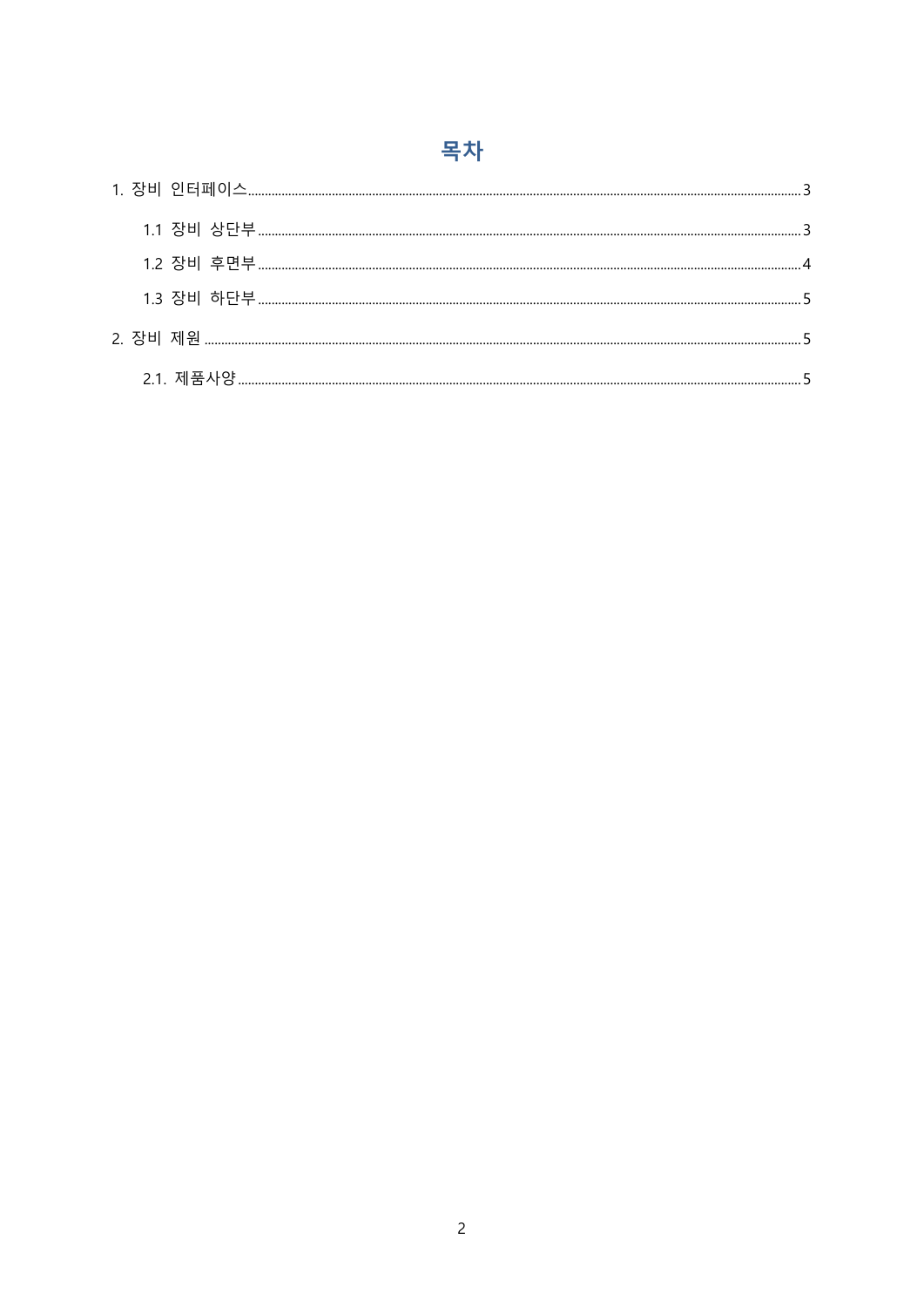# 목차

<span id="page-1-0"></span>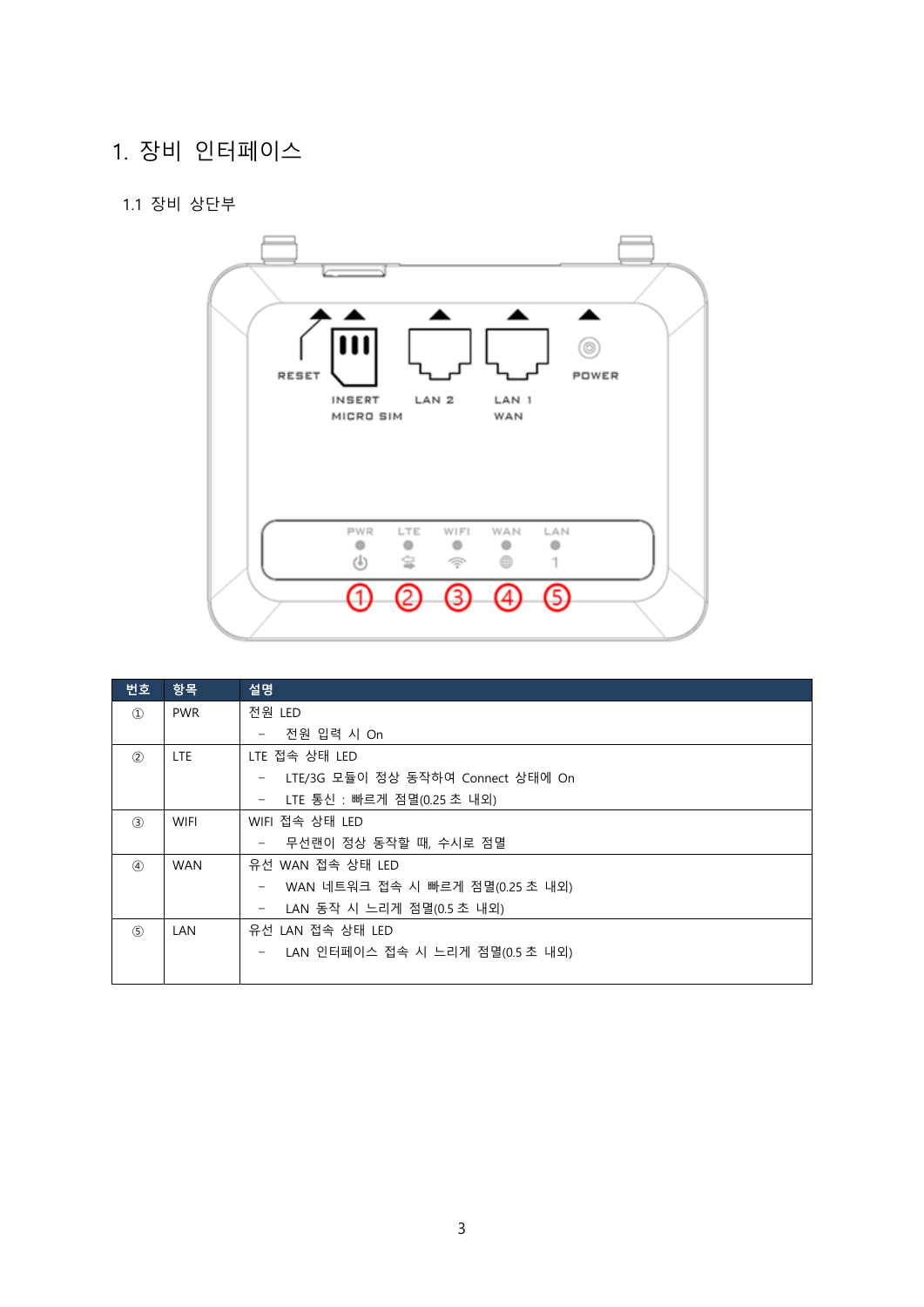### 1. 장비 인터페이스

#### <span id="page-2-0"></span>1.1 장비 상단부



| 번호                | 항목          | 설명                                              |
|-------------------|-------------|-------------------------------------------------|
| $\textcircled{1}$ | <b>PWR</b>  | 전원 LED                                          |
|                   |             | 전원 입력 시 On                                      |
| (2)               | LTE.        | LTE 접속 상태 LED                                   |
|                   |             | LTE/3G 모듈이 정상 동작하여 Connect 상태에 On               |
|                   |             | LTE 통신 : 빠르게 점멸(0.25 초 내외)<br>$\qquad \qquad -$ |
| (3)               | <b>WIFI</b> | WIFI 접속 상태 LED                                  |
|                   |             | 무선랜이 정상 동작할 때, 수시로 점멸                           |
| $\circled{4}$     | <b>WAN</b>  | 유선 WAN 접속 상태 LED                                |
|                   |             | WAN 네트워크 접속 시 빠르게 점멸(0.25 초 내외)                 |
|                   |             | LAN 동작 시 느리게 점멸(0.5 초 내외)                       |
| (5)               | LAN         | 유선 LAN 접속 상태 LED                                |
|                   |             | LAN 인터페이스 접속 시 느리게 점멸(0.5 초 내외)                 |
|                   |             |                                                 |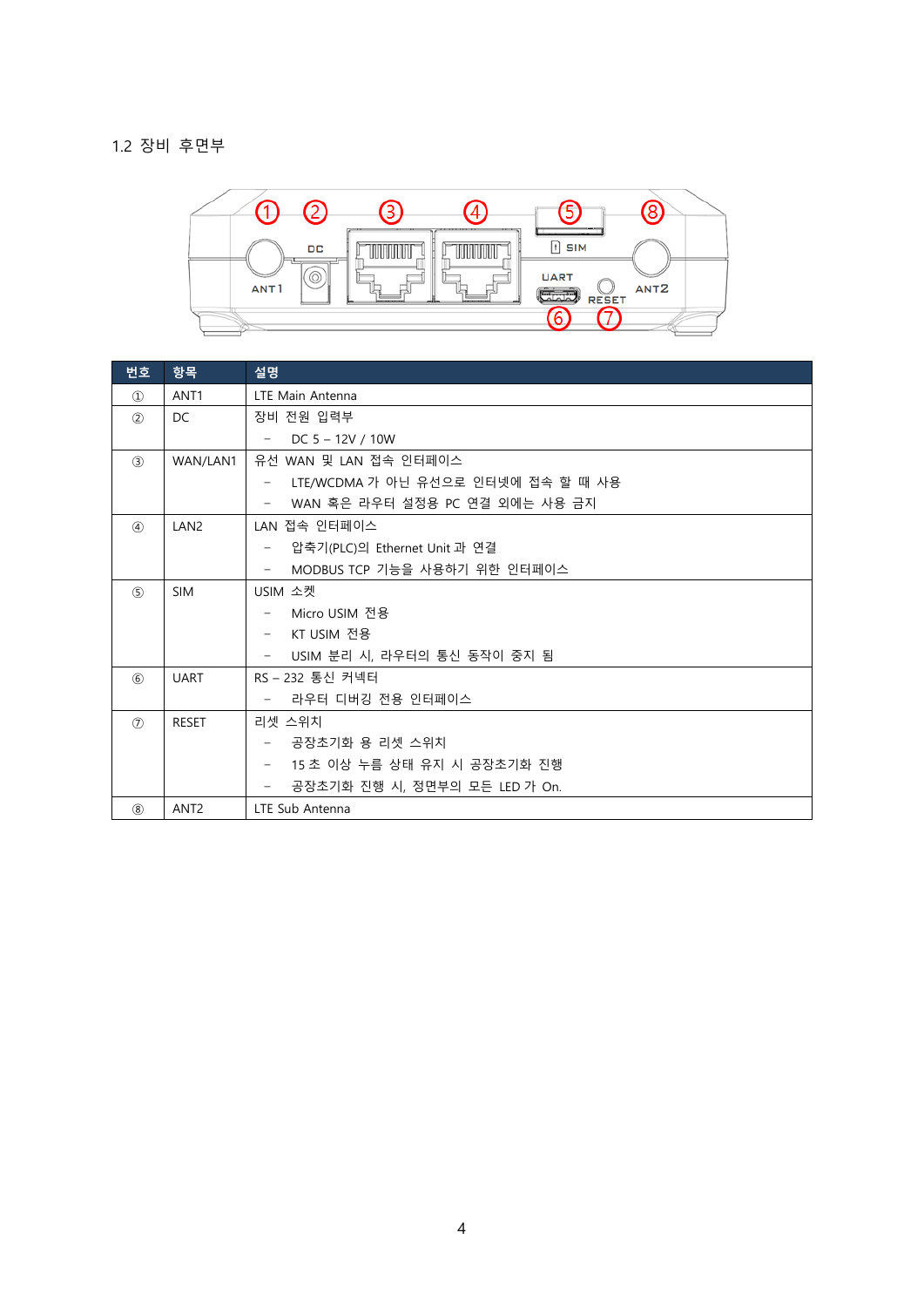#### <span id="page-3-0"></span>1.2 장비 후면부



| 번호                          | 항목               | 설명                                                        |
|-----------------------------|------------------|-----------------------------------------------------------|
| $\circled{1}$               | ANT <sub>1</sub> | LTE Main Antenna                                          |
| (2)                         | <b>DC</b>        | 장비 전원 입력부                                                 |
|                             |                  | DC $5 - 12V / 10W$<br>$\overline{\phantom{m}}$            |
| $\circled{3}$               | WAN/LAN1         | 유선 WAN 및 LAN 접속 인터페이스                                     |
|                             |                  | LTE/WCDMA 가 아닌 유선으로 인터넷에 접속 할 때 사용                        |
|                             |                  | WAN 혹은 라우터 설정용 PC 연결 외에는 사용 금지                            |
| $\left( \widehat{4}\right)$ | LAN <sub>2</sub> | LAN 접속 인터페이스                                              |
|                             |                  | 압축기(PLC)의 Ethernet Unit 과 연결<br>-                         |
|                             |                  | MODBUS TCP 기능을 사용하기 위한 인터페이스<br>$\overline{\phantom{m}}$  |
| (5)                         | <b>SIM</b>       | USIM 소켓                                                   |
|                             |                  | Micro USIM 전용                                             |
|                             |                  | KT USIM 전용<br>$\overline{\phantom{m}}$                    |
|                             |                  | USIM 분리 시, 라우터의 통신 동작이 중지 됨<br>$\overline{\phantom{m}}$   |
| $6$                         | <b>UART</b>      | RS-232 통신 커넥터                                             |
|                             |                  | 라우터 디버깅 전용 인터페이스<br>$\overline{\phantom{m}}$              |
| (7)                         | <b>RESET</b>     | 리셋 스위치                                                    |
|                             |                  | 공장초기화 용 리셋 스위치<br>$\qquad \qquad -$                       |
|                             |                  | 15 초 이상 누름 상태 유지 시 공장초기화 진행<br>$\overline{\phantom{m}}$   |
|                             |                  | 공장초기화 진행 시, 정면부의 모든 LED 가 On.<br>$\overline{\phantom{a}}$ |
| (8)                         | ANT <sub>2</sub> | LTE Sub Antenna                                           |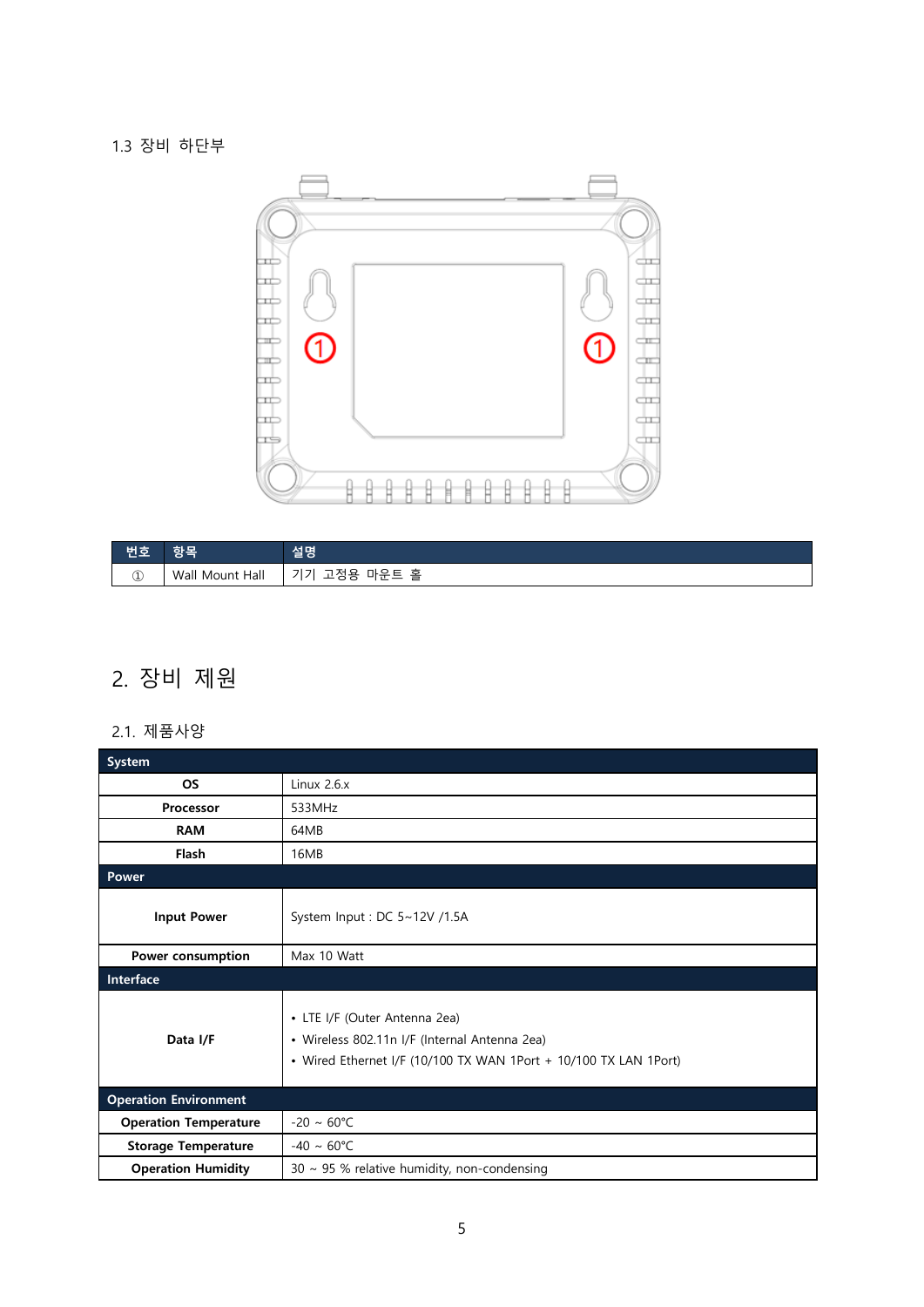<span id="page-4-0"></span>1.3 장비 하단부



| ست و د | יי                        | 서면<br>실병                                                |
|--------|---------------------------|---------------------------------------------------------|
| ¢      | <br>Wall<br>Hall<br>Mount | 홀<br>$\overline{\phantom{0}}$<br>마운<br>_<br>$\sim$<br>ີ |

## <span id="page-4-1"></span>2. 장비 제원

#### <span id="page-4-2"></span>2.1. 제품사양

| <b>System</b>                |                                                                                                                                                    |
|------------------------------|----------------------------------------------------------------------------------------------------------------------------------------------------|
| <b>OS</b>                    | Linux $2.6.x$                                                                                                                                      |
| Processor                    | 533MHz                                                                                                                                             |
| <b>RAM</b>                   | 64MB                                                                                                                                               |
| <b>Flash</b>                 | 16MB                                                                                                                                               |
| Power                        |                                                                                                                                                    |
| <b>Input Power</b>           | System Input: DC 5~12V /1.5A                                                                                                                       |
| Power consumption            | Max 10 Watt                                                                                                                                        |
| Interface                    |                                                                                                                                                    |
| Data I/F                     | • LTE I/F (Outer Antenna 2ea)<br>• Wireless 802.11n I/F (Internal Antenna 2ea)<br>• Wired Ethernet I/F (10/100 TX WAN 1Port + 10/100 TX LAN 1Port) |
| <b>Operation Environment</b> |                                                                                                                                                    |
| <b>Operation Temperature</b> | $-20 \sim 60^{\circ}C$                                                                                                                             |
| <b>Storage Temperature</b>   | $-40 \sim 60^{\circ}$ C                                                                                                                            |
| <b>Operation Humidity</b>    | $30 \sim 95$ % relative humidity, non-condensing                                                                                                   |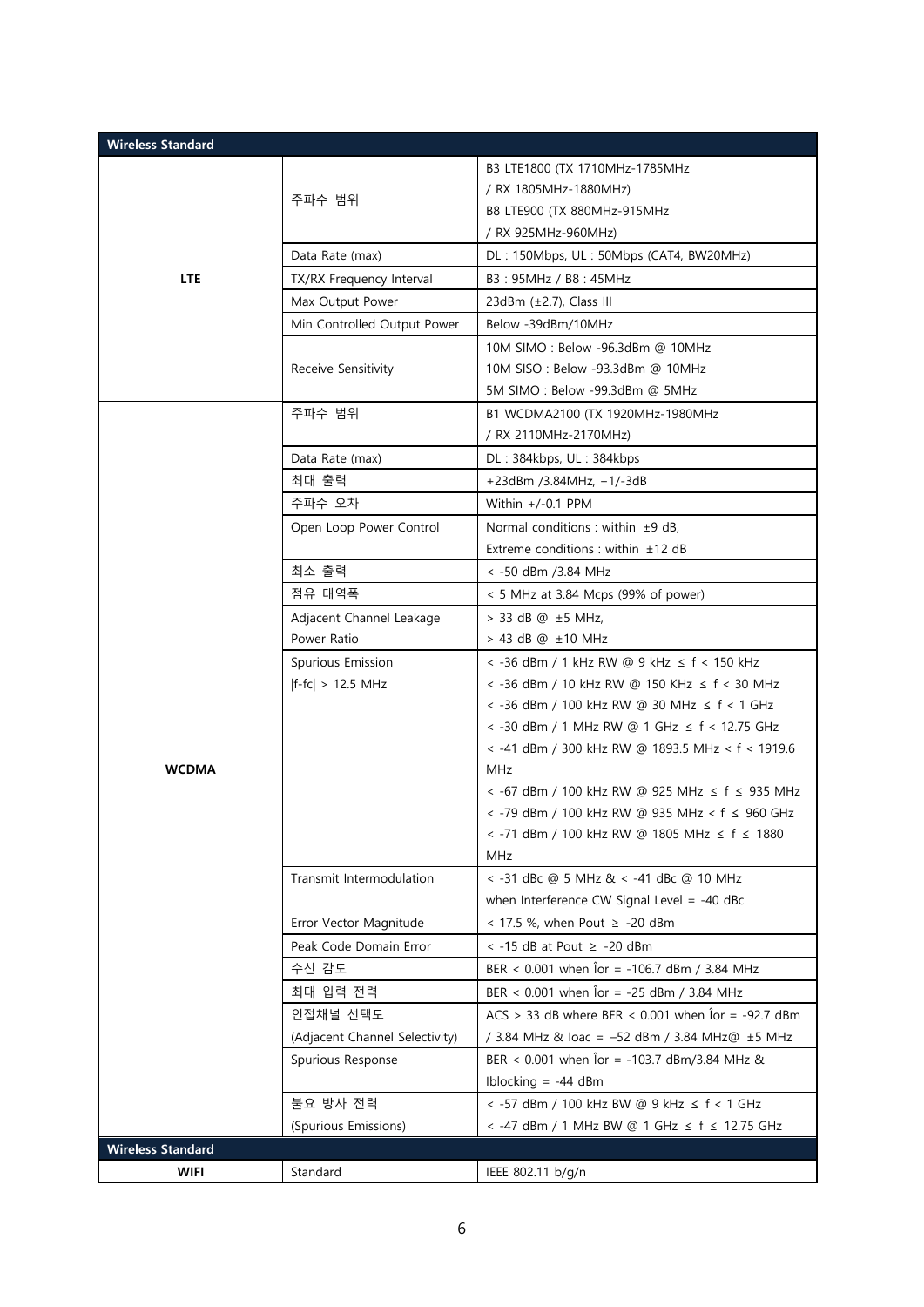| <b>Wireless Standard</b> |                                |                                                                         |
|--------------------------|--------------------------------|-------------------------------------------------------------------------|
|                          |                                | B3 LTE1800 (TX 1710MHz-1785MHz                                          |
|                          | 주파수 범위                         | / RX 1805MHz-1880MHz)                                                   |
|                          |                                | B8 LTE900 (TX 880MHz-915MHz                                             |
|                          |                                | / RX 925MHz-960MHz)                                                     |
|                          | Data Rate (max)                | DL: 150Mbps, UL: 50Mbps (CAT4, BW20MHz)                                 |
| <b>LTE</b>               | TX/RX Frequency Interval       | B3: 95MHz / B8: 45MHz                                                   |
|                          | Max Output Power               | 23dBm $(\pm 2.7)$ , Class III                                           |
|                          | Min Controlled Output Power    | Below -39dBm/10MHz                                                      |
|                          | Receive Sensitivity            | 10M SIMO: Below -96.3dBm @ 10MHz                                        |
|                          |                                | 10M SISO: Below -93.3dBm @ 10MHz                                        |
|                          |                                | 5M SIMO: Below -99.3dBm @ 5MHz                                          |
|                          | 주파수 범위                         | B1 WCDMA2100 (TX 1920MHz-1980MHz                                        |
|                          |                                | / RX 2110MHz-2170MHz)                                                   |
|                          | Data Rate (max)                | DL: 384kbps, UL: 384kbps                                                |
|                          | 최대 출력                          | +23dBm /3.84MHz, +1/-3dB                                                |
|                          | 주파수 오차                         | Within $+/-0.1$ PPM                                                     |
|                          | Open Loop Power Control        | Normal conditions : within $±9$ dB.                                     |
|                          |                                | Extreme conditions : within ±12 dB                                      |
|                          | 최소 출력                          | < -50 dBm /3.84 MHz                                                     |
|                          | 점유 대역폭                         | < 5 MHz at 3.84 Mcps (99% of power)                                     |
|                          | Adjacent Channel Leakage       | > 33 dB @ ±5 MHz,                                                       |
|                          | Power Ratio                    | > 43 dB @ ±10 MHz                                                       |
|                          | Spurious Emission              | < -36 dBm / 1 kHz RW @ 9 kHz ≤ f < 150 kHz                              |
|                          | $ f-fc  > 12.5$ MHz            | < -36 dBm / 10 kHz RW @ 150 KHz ≤ f < 30 MHz                            |
|                          |                                | < -36 dBm / 100 kHz RW @ 30 MHz ≤ f < 1 GHz                             |
|                          |                                | < -30 dBm / 1 MHz RW @ 1 GHz ≤ f < 12.75 GHz                            |
|                          |                                | < -41 dBm / 300 kHz RW @ 1893.5 MHz < f < 1919.6                        |
| <b>WCDMA</b>             |                                | <b>MHz</b>                                                              |
|                          |                                | < -67 dBm / 100 kHz RW @ 925 MHz ≤ f ≤ 935 MHz                          |
|                          |                                | < -79 dBm / 100 kHz RW @ 935 MHz < f ≤ 960 GHz                          |
|                          |                                | < -71 dBm / 100 kHz RW @ 1805 MHz ≤ f ≤ 1880                            |
|                          |                                | MHz                                                                     |
|                          | Transmit Intermodulation       | < -31 dBc @ 5 MHz & < -41 dBc @ 10 MHz                                  |
|                          |                                | when Interference CW Signal Level = $-40$ dBc                           |
|                          | Error Vector Magnitude         | $<$ 17.5 %, when Pout $\ge$ -20 dBm                                     |
|                          | Peak Code Domain Error         | $\le$ -15 dB at Pout $\ge$ -20 dBm                                      |
|                          | 수신 감도                          | BER < $0.001$ when $\hat{1}$ or = -106.7 dBm / 3.84 MHz                 |
|                          | 최대 입력 전력                       | BER < 0.001 when for = -25 dBm / 3.84 MHz                               |
|                          | 인접채널 선택도                       | ACS > 33 dB where BER < $0.001$ when $\hat{0}$ r = -92.7 dBm            |
|                          | (Adjacent Channel Selectivity) | / 3.84 MHz & loac = -52 dBm / 3.84 MHz@ ±5 MHz                          |
|                          | Spurious Response              | BER < $0.001$ when $\text{for} = -103.7 \text{ dBm}/3.84 \text{ MHz}$ & |
|                          |                                | Iblocking $= -44$ dBm                                                   |
|                          | 불요 방사 전력                       | < -57 dBm / 100 kHz BW @ 9 kHz ≤ f < 1 GHz                              |
|                          | (Spurious Emissions)           | < -47 dBm / 1 MHz BW @ 1 GHz ≤ f ≤ 12.75 GHz                            |
| <b>Wireless Standard</b> |                                |                                                                         |
| <b>WIFI</b>              | Standard                       | IEEE 802.11 b/g/n                                                       |